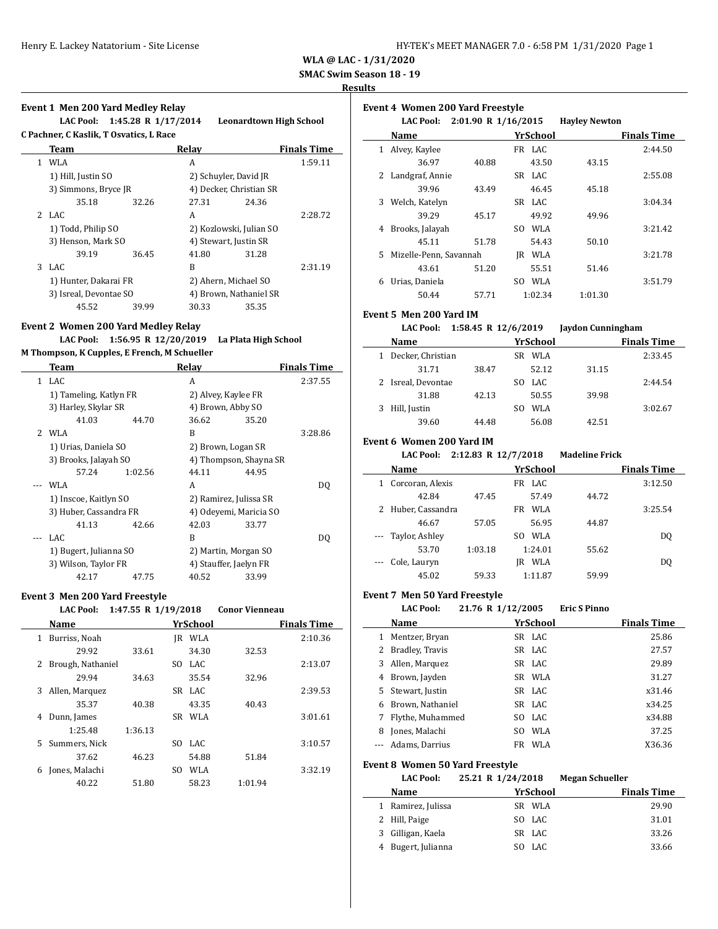**SMAC Swim Season 18 - 19**

#### **Results**

|    | Event 1 Men 200 Yard Medley Relay       |       |                       |                                |                    |
|----|-----------------------------------------|-------|-----------------------|--------------------------------|--------------------|
|    | LAC Pool: 1:45.28 R 1/17/2014           |       |                       | <b>Leonardtown High School</b> |                    |
|    | C Pachner, C Kaslik, T Osvatics, L Race |       |                       |                                |                    |
|    | Team                                    |       | Relay                 |                                | <b>Finals Time</b> |
| 1. | WLA                                     |       | A                     |                                | 1:59.11            |
|    | 1) Hill, Justin SO                      |       | 2) Schuyler, David JR |                                |                    |
|    | 3) Simmons, Bryce JR                    |       |                       | 4) Decker, Christian SR        |                    |
|    | 35.18                                   | 32.26 | 27.31                 | 24.36                          |                    |
|    | 2 LAC                                   |       | A                     |                                | 2:28.72            |
|    | 1) Todd, Philip SO                      |       |                       | 2) Kozlowski, Julian SO        |                    |
|    | 3) Henson, Mark SO                      |       | 4) Stewart, Justin SR |                                |                    |
|    | 39.19                                   | 36.45 | 41.80                 | 31.28                          |                    |
|    | 3 LAC                                   |       | R                     |                                | 2:31.19            |
|    | 1) Hunter, Dakarai FR                   |       | 2) Ahern, Michael SO  |                                |                    |
|    | 3) Isreal, Devontae SO                  |       |                       | 4) Brown, Nathaniel SR         |                    |
|    | 45.52                                   | 39.99 | 30.33                 | 35.35                          |                    |

#### **Event 2 Women 200 Yard Medley Relay LAC Pool: 1:56.95 R 12/20/2019 La Plata High School**

**M Thompson, K Cupples, E French, M Schueller**

|                | Team                   |         | Relav               |                        | <b>Finals Time</b> |
|----------------|------------------------|---------|---------------------|------------------------|--------------------|
| 1              | LAC                    |         | A                   |                        | 2:37.55            |
|                | 1) Tameling, Katlyn FR |         | 2) Alvey, Kaylee FR |                        |                    |
|                | 3) Harley, Skylar SR   |         | 4) Brown, Abby SO   |                        |                    |
|                | 41.03                  | 44.70   | 36.62               | 35.20                  |                    |
| $\overline{2}$ | WLA                    |         | B                   |                        | 3:28.86            |
|                | 1) Urias, Daniela SO   |         | 2) Brown, Logan SR  |                        |                    |
|                | 3) Brooks, Jalayah SO  |         |                     | 4) Thompson, Shayna SR |                    |
|                | 57.24                  | 1:02.56 | 44.11               | 44.95                  |                    |
|                | WLA                    |         | A                   |                        | DO                 |
|                | 1) Inscoe, Kaitlyn SO  |         |                     | 2) Ramirez, Julissa SR |                    |
|                | 3) Huber, Cassandra FR |         |                     | 4) Odevemi, Maricia SO |                    |
|                | 41.13                  | 42.66   | 42.03               | 33.77                  |                    |
|                | LAC                    |         | R                   |                        | DO                 |
|                | 1) Bugert, Julianna SO |         |                     | 2) Martin, Morgan SO   |                    |
|                | 3) Wilson, Taylor FR   |         |                     | 4) Stauffer, Jaelyn FR |                    |
|                | 42.17                  | 47.75   | 40.52               | 33.99                  |                    |

### **Event 3 Men 200 Yard Freestyle**

|   | <b>LAC Pool:</b>  | 1:47.55 R 1/19/2018 |     |          | <b>Conor Vienneau</b> |                    |
|---|-------------------|---------------------|-----|----------|-----------------------|--------------------|
|   | Name              |                     |     | YrSchool |                       | <b>Finals Time</b> |
| 1 | Burriss, Noah     |                     | IR  | WLA      |                       | 2:10.36            |
|   | 29.92             | 33.61               |     | 34.30    | 32.53                 |                    |
| 2 | Brough, Nathaniel |                     | SO. | LAC.     |                       | 2:13.07            |
|   | 29.94             | 34.63               |     | 35.54    | 32.96                 |                    |
| 3 | Allen, Marquez    |                     |     | SR LAC   |                       | 2:39.53            |
|   | 35.37             | 40.38               |     | 43.35    | 40.43                 |                    |
| 4 | Dunn, James       |                     | SR  | WLA      |                       | 3:01.61            |
|   | 1:25.48           | 1:36.13             |     |          |                       |                    |
| 5 | Summers, Nick     |                     | SO. | LAC      |                       | 3:10.57            |
|   | 37.62             | 46.23               |     | 54.88    | 51.84                 |                    |
| 6 | Jones, Malachi    |                     | SO. | WLA      |                       | 3:32.19            |
|   | 40.22             | 51.80               |     | 58.23    | 1:01.94               |                    |
|   |                   |                     |     |          |                       |                    |

|    | <b>Event 4 Women 200 Yard Freestyle</b> |                     |            |                      |                    |  |  |  |
|----|-----------------------------------------|---------------------|------------|----------------------|--------------------|--|--|--|
|    | <b>LAC Pool:</b>                        | 2:01.90 R 1/16/2015 |            | <b>Havley Newton</b> |                    |  |  |  |
|    | Name                                    |                     | YrSchool   |                      | <b>Finals Time</b> |  |  |  |
| 1  | Alvey, Kaylee                           |                     | FR LAC     |                      | 2:44.50            |  |  |  |
|    | 36.97                                   | 40.88               | 43.50      | 43.15                |                    |  |  |  |
| 2  | Landgraf, Annie                         |                     | SR LAC     |                      | 2:55.08            |  |  |  |
|    | 39.96                                   | 43.49               | 46.45      | 45.18                |                    |  |  |  |
| 3  | Welch, Katelyn                          |                     | SR LAC     |                      | 3:04.34            |  |  |  |
|    | 39.29                                   | 45.17               | 49.92      | 49.96                |                    |  |  |  |
| 4  | Brooks, Jalayah                         |                     | WLA<br>SO. |                      | 3:21.42            |  |  |  |
|    | 45.11                                   | 51.78               | 54.43      | 50.10                |                    |  |  |  |
| 5. | Mizelle-Penn, Savannah                  |                     | WLA<br>IR  |                      | 3:21.78            |  |  |  |
|    | 43.61                                   | 51.20               | 55.51      | 51.46                |                    |  |  |  |
| 6  | Urias, Daniela                          |                     | WLA<br>SO. |                      | 3:51.79            |  |  |  |
|    | 50.44                                   | 57.71               | 1:02.34    | 1:01.30              |                    |  |  |  |

### **Event 5 Men 200 Yard IM**

#### **LAC Pool: 1:58.45 R 12/6/2019 Jaydon Cunningham**

| Name               |       |     | YrSchool |       | <b>Finals Time</b> |
|--------------------|-------|-----|----------|-------|--------------------|
| Decker, Christian  |       | SR. | WLA      |       | 2:33.45            |
| 31.71              | 38.47 |     | 52.12    | 31.15 |                    |
| 2 Isreal, Devontae |       |     | LAC.     |       | 2:44.54            |
| 31.88              | 42.13 |     | 50.55    | 39.98 |                    |
| Hill, Justin       |       |     | WLA      |       | 3:02.67            |
| 39.60              | 44.48 |     | 56.08    | 42.51 |                    |

### **Event 6 Women 200 Yard IM**

 $\overline{a}$ 

#### **LAC Pool: 2:12.83 R 12/7/2018 Madeline Frick**

|   | Name               |         | YrSchool   |       | <b>Finals Time</b> |
|---|--------------------|---------|------------|-------|--------------------|
|   | Corcoran, Alexis   |         | FR LAC     |       | 3:12.50            |
|   | 42.84              | 47.45   | 57.49      | 44.72 |                    |
| 2 | Huber, Cassandra   |         | WLA<br>FR  |       | 3:25.54            |
|   | 46.67              | 57.05   | 56.95      | 44.87 |                    |
|   | --- Taylor, Ashley |         | WLA<br>SO. |       | DO.                |
|   | 53.70              | 1:03.18 | 1:24.01    | 55.62 |                    |
|   | --- Cole, Lauryn   |         | WLA<br>IR  |       | DO.                |
|   | 45.02              | 59.33   | 1:11.87    | 59.99 |                    |

### **Event 7 Men 50 Yard Freestyle**

|   | <b>LAC Pool:</b> | 21.76 R 1/12/2005 | <b>Eric S Pinno</b> |                    |
|---|------------------|-------------------|---------------------|--------------------|
|   | Name             | YrSchool          |                     | <b>Finals Time</b> |
|   | Mentzer, Bryan   | SR LAC            |                     | 25.86              |
| 2 | Bradley, Travis  | SR LAC            |                     | 27.57              |
| 3 | Allen, Marquez   | SR LAC            |                     | 29.89              |
|   | Brown, Jayden    | SR WLA            |                     | 31.27              |
| 5 | Stewart, Justin  | SR LAC            |                     | x31.46             |
|   | _ _ _ _ _ _      |                   |                     | - - - -            |

| 6 Brown, Nathaniel | SR LAC | x34.25 |
|--------------------|--------|--------|
| 7 Flythe, Muhammed | SO LAC | x34.88 |
| 8 Jones, Malachi   | SO WLA | 37.25  |
| --- Adams, Darrius | FR WLA | X36.36 |

#### **Event 8 Women 50 Yard Freestyle**

**LAC Pool: 25.21 R 1/24/2018 Megan Schueller**

| Name              | YrSchool | <b>Finals Time</b> |
|-------------------|----------|--------------------|
| Ramirez, Julissa  | SR WLA   | 29.90              |
| 2 Hill, Paige     | SO LAC   | 31.01              |
| 3 Gilligan, Kaela | SR LAC   | 33.26              |
| Bugert, Julianna  | SO LAC   | 33.66              |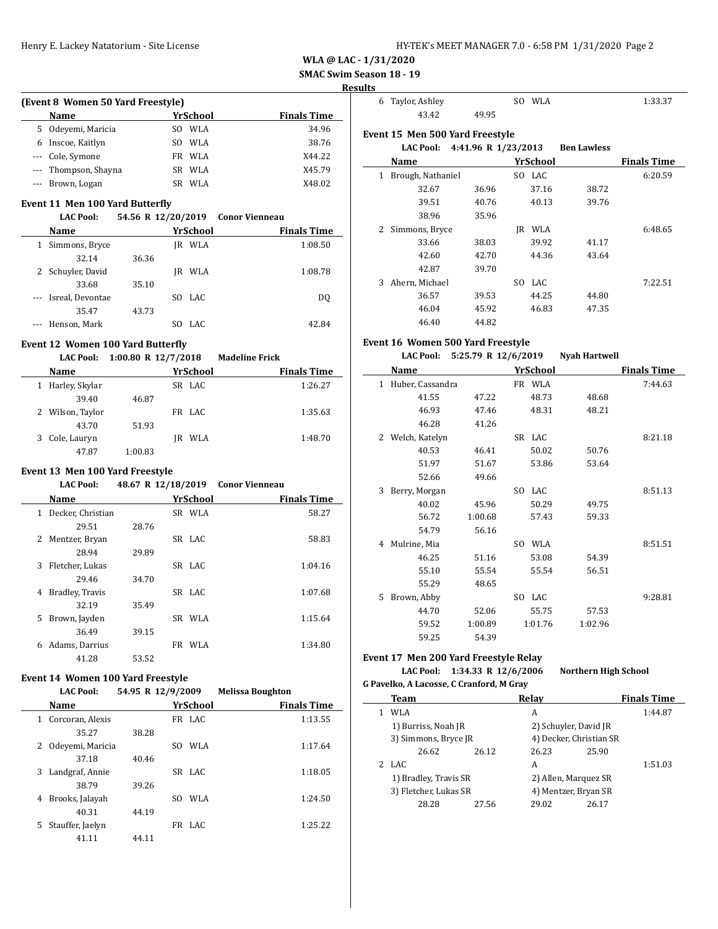## **SMAC Swim Season 18 - 19**

### **Results**

| (Event 8 Women 50 Yard Freestyle) |                      |     |          |                    |  |  |
|-----------------------------------|----------------------|-----|----------|--------------------|--|--|
|                                   | Name                 |     | YrSchool | <b>Finals Time</b> |  |  |
| 5.                                | Odeyemi, Maricia     | SO. | WLA      | 34.96              |  |  |
| 6                                 | Inscoe, Kaitlyn      | SO. | WLA      | 38.76              |  |  |
|                                   | --- Cole, Symone     | FR. | WLA      | X44.22             |  |  |
|                                   | --- Thompson, Shayna |     | SR WLA   | X45.79             |  |  |
|                                   | --- Brown, Logan     | SR. | WLA      | X48.02             |  |  |

### **Event 11 Men 100 Yard Butterfly**

|          | <b>LAC Pool:</b>     | 54.56 R 12/20/2019 |    |                 | <b>Conor Vienneau</b> |                    |
|----------|----------------------|--------------------|----|-----------------|-----------------------|--------------------|
|          | Name                 |                    |    | <b>YrSchool</b> |                       | <b>Finals Time</b> |
| 1        | Simmons, Bryce       |                    | IR | WLA             |                       | 1:08.50            |
|          | 32.14                | 36.36              |    |                 |                       |                    |
|          | 2 Schuyler, David    |                    | IR | WLA             |                       | 1:08.78            |
|          | 33.68                | 35.10              |    |                 |                       |                    |
|          | --- Isreal, Devontae |                    |    | SO LAC          |                       | D <sub>0</sub>     |
|          | 35.47                | 43.73              |    |                 |                       |                    |
| $\cdots$ | Henson, Mark         |                    |    | LAC.            |                       | 42.84              |
|          |                      |                    |    |                 |                       |                    |

#### **Event 12 Women 100 Yard Butterfly**

### **LAC Pool: 1:00.80 R 12/7/2018 Madeline Frick**

|   | Name             |         | YrSchool   | <b>Finals Time</b> |
|---|------------------|---------|------------|--------------------|
| 1 | Harley, Skylar   |         | SR LAC     | 1:26.27            |
|   | 39.40            | 46.87   |            |                    |
|   | 2 Wilson, Taylor |         | FR LAC     | 1:35.63            |
|   | 43.70            | 51.93   |            |                    |
|   | Cole, Lauryn     |         | WLA<br>IR. | 1:48.70            |
|   | 47.87            | 1:00.83 |            |                    |

### **Event 13 Men 100 Yard Freestyle**

| <b>LAC Pool:</b> | 48.67 R 12/18/2019 Conor Vienneau |                    |
|------------------|-----------------------------------|--------------------|
| Name             | <b>YrSchool</b>                   | <b>Finals Time</b> |

|   | маше              |       | пэспоот   | гицанэ гипс |
|---|-------------------|-------|-----------|-------------|
| 1 | Decker, Christian |       | SR WLA    | 58.27       |
|   | 29.51             | 28.76 |           |             |
| 2 | Mentzer, Bryan    |       | SR LAC    | 58.83       |
|   | 28.94             | 29.89 |           |             |
| 3 | Fletcher, Lukas   |       | SR LAC    | 1:04.16     |
|   | 29.46             | 34.70 |           |             |
| 4 | Bradley, Travis   |       | SR LAC    | 1:07.68     |
|   | 32.19             | 35.49 |           |             |
| 5 | Brown, Jayden     |       | SR WLA    | 1:15.64     |
|   | 36.49             | 39.15 |           |             |
| 6 | Adams, Darrius    |       | FR<br>WLA | 1:34.80     |
|   | 41.28             | 53.52 |           |             |

## **Event 14 Women 100 Yard Freestyle**

**LAC Pool: 54.95 R 12/9/2009 Melissa Boughton**

|    | Name             |       | YrSchool    | <b>Finals Time</b> |
|----|------------------|-------|-------------|--------------------|
| 1  | Corcoran, Alexis |       | FR LAC      | 1:13.55            |
|    | 35.27            | 38.28 |             |                    |
| 2  | Odeyemi, Maricia |       | WLA<br>SO.  | 1:17.64            |
|    | 37.18            | 40.46 |             |                    |
| 3  | Landgraf, Annie  |       | SR LAC      | 1:18.05            |
|    | 38.79            | 39.26 |             |                    |
| 4  | Brooks, Jalayah  |       | WI.A<br>SO. | 1:24.50            |
|    | 40.31            | 44.19 |             |                    |
| 5. | Stauffer, Jaelyn |       | FR LAC      | 1:25.22            |
|    | 41.11            | 44.11 |             |                    |

| 6 | Taylor, Ashley                  |                     | SO. | WLA      |                    | 1:33.37            |
|---|---------------------------------|---------------------|-----|----------|--------------------|--------------------|
|   | 43.42                           | 49.95               |     |          |                    |                    |
|   | Event 15 Men 500 Yard Freestyle |                     |     |          |                    |                    |
|   | <b>LAC Pool:</b>                | 4:41.96 R 1/23/2013 |     |          | <b>Ben Lawless</b> |                    |
|   | Name                            |                     |     | YrSchool |                    | <b>Finals Time</b> |
| 1 | Brough, Nathaniel               |                     |     | SO LAC   |                    | 6:20.59            |
|   | 32.67                           | 36.96               |     | 37.16    | 38.72              |                    |
|   | 39.51                           | 40.76               |     | 40.13    | 39.76              |                    |
|   | 38.96                           | 35.96               |     |          |                    |                    |
| 2 | Simmons, Bryce                  |                     | IR  | WLA      |                    | 6:48.65            |
|   | 33.66                           | 38.03               |     | 39.92    | 41.17              |                    |
|   | 42.60                           | 42.70               |     | 44.36    | 43.64              |                    |
|   | 42.87                           | 39.70               |     |          |                    |                    |
| 3 | Ahern, Michael                  |                     | SO. | LAC      |                    | 7:22.51            |
|   | 36.57                           | 39.53               |     | 44.25    | 44.80              |                    |
|   | 46.04                           | 45.92               |     | 46.83    | 47.35              |                    |
|   | 46.40                           | 44.82               |     |          |                    |                    |

### **Event 16 Women 500 Yard Freestyle**

### **LAC Pool: 5:25.79 R 12/6/2019 Nyah Hartwell**

|   | Name             |         |     | YrSchool |         | <b>Finals Time</b> |
|---|------------------|---------|-----|----------|---------|--------------------|
| 1 | Huber, Cassandra |         |     | FR WLA   |         | 7:44.63            |
|   | 41.55            | 47.22   |     | 48.73    | 48.68   |                    |
|   | 46.93            | 47.46   |     | 48.31    | 48.21   |                    |
|   | 46.28            | 41.26   |     |          |         |                    |
| 2 | Welch, Katelyn   |         |     | SR LAC   |         | 8:21.18            |
|   | 40.53            | 46.41   |     | 50.02    | 50.76   |                    |
|   | 51.97            | 51.67   |     | 53.86    | 53.64   |                    |
|   | 52.66            | 49.66   |     |          |         |                    |
| 3 | Berry, Morgan    |         | SO. | LAC      |         | 8:51.13            |
|   | 40.02            | 45.96   |     | 50.29    | 49.75   |                    |
|   | 56.72            | 1:00.68 |     | 57.43    | 59.33   |                    |
|   | 54.79            | 56.16   |     |          |         |                    |
| 4 | Mulrine, Mia     |         | SO. | WLA      |         | 8:51.51            |
|   | 46.25            | 51.16   |     | 53.08    | 54.39   |                    |
|   | 55.10            | 55.54   |     | 55.54    | 56.51   |                    |
|   | 55.29            | 48.65   |     |          |         |                    |
| 5 | Brown, Abby      |         | SO. | LAC      |         | 9:28.81            |
|   | 44.70            | 52.06   |     | 55.75    | 57.53   |                    |
|   | 59.52            | 1:00.89 |     | 1:01.76  | 1:02.96 |                    |
|   | 59.25            | 54.39   |     |          |         |                    |

### **Event 17 Men 200 Yard Freestyle Relay**

**LAC Pool: 1:34.33 R 12/6/2006 Northern High School**

### **G Pavelko, A Lacosse, C Cranford, M Gray**

| Team                  |       | Relay                   |       | <b>Finals Time</b> |
|-----------------------|-------|-------------------------|-------|--------------------|
| WLA                   |       | A                       |       | 1:44.87            |
| 1) Burriss, Noah JR   |       | 2) Schuyler, David JR   |       |                    |
| 3) Simmons, Bryce JR  |       | 4) Decker, Christian SR |       |                    |
| 26.62                 | 26.12 | 26.23                   | 25.90 |                    |
| LAC.                  |       | A                       |       | 1:51.03            |
| 1) Bradley, Travis SR |       | 2) Allen, Marquez SR    |       |                    |
| 3) Fletcher, Lukas SR |       | 4) Mentzer, Bryan SR    |       |                    |
| 28.28                 | 27.56 | 29.02                   | 26.17 |                    |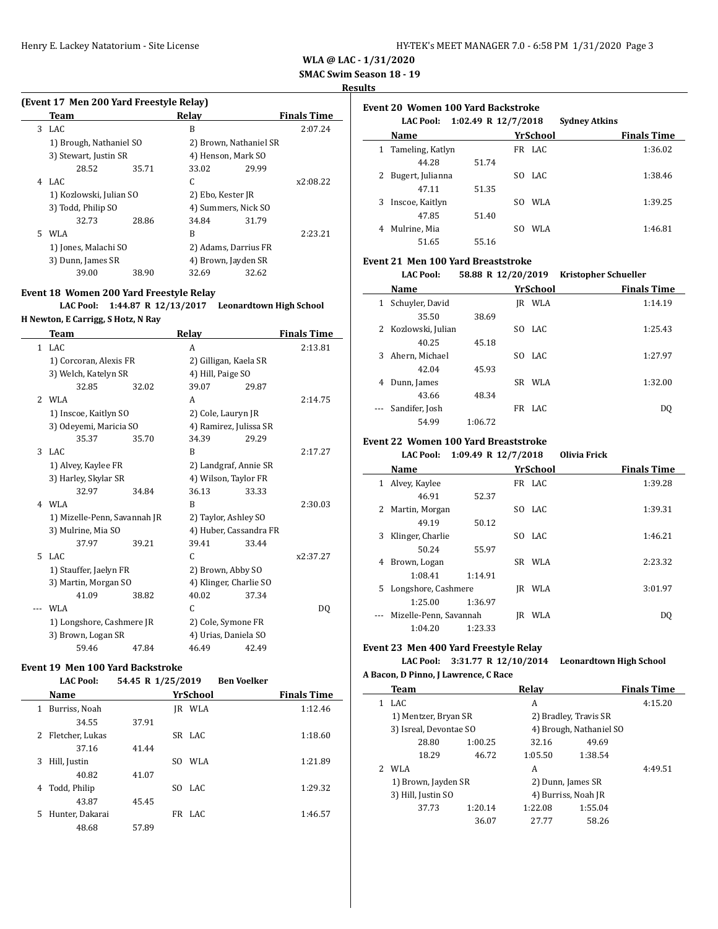**SMAC Swim Season 18 - 19**

#### **Results**

|  |  |  | (Event 17 Men 200 Yard Freestyle Relay) |  |
|--|--|--|-----------------------------------------|--|
|--|--|--|-----------------------------------------|--|

|   | Team                    |       | Relay                  |       | <b>Finals Time</b> |
|---|-------------------------|-------|------------------------|-------|--------------------|
| 3 | LAC.                    |       | B                      |       | 2:07.24            |
|   | 1) Brough, Nathaniel SO |       | 2) Brown, Nathaniel SR |       |                    |
|   | 3) Stewart, Justin SR   |       | 4) Henson, Mark SO     |       |                    |
|   | 28.52                   | 35.71 | 33.02                  | 29.99 |                    |
| 4 | LAC.                    |       | C                      |       | x2:08.22           |
|   | 1) Kozlowski, Julian SO |       | 2) Ebo, Kester JR      |       |                    |
|   | 3) Todd, Philip SO      |       | 4) Summers, Nick SO    |       |                    |
|   | 32.73                   | 28.86 | 34.84                  | 31.79 |                    |
| 5 | WLA                     |       | B                      |       | 2:23.21            |
|   | 1) Jones, Malachi SO    |       | 2) Adams, Darrius FR   |       |                    |
|   | 3) Dunn, James SR       |       | 4) Brown, Jayden SR    |       |                    |
|   | 39.00                   | 38.90 | 32.69                  | 32.62 |                    |

### **Event 18 Women 200 Yard Freestyle Relay**

**LAC Pool: 1:44.87 R 12/13/2017 Leonardtown High School**

**H Newton, E Carrigg, S Hotz, N Ray**

|                | Team                         |       | Relay                  |       | <b>Finals Time</b> |
|----------------|------------------------------|-------|------------------------|-------|--------------------|
| 1              | LAC.                         |       | A                      |       | 2:13.81            |
|                | 1) Corcoran, Alexis FR       |       | 2) Gilligan, Kaela SR  |       |                    |
|                | 3) Welch, Katelyn SR         |       | 4) Hill, Paige SO      |       |                    |
|                | 32.85                        | 32.02 | 39.07                  | 29.87 |                    |
| $\overline{2}$ | WLA                          |       | A                      |       | 2:14.75            |
|                | 1) Inscoe, Kaitlyn SO        |       | 2) Cole, Lauryn JR     |       |                    |
|                | 3) Odeyemi, Maricia SO       |       | 4) Ramirez, Julissa SR |       |                    |
|                | 35.37                        | 35.70 | 34.39                  | 29.29 |                    |
| 3              | LAC.                         |       | B                      |       | 2:17.27            |
|                | 1) Alvey, Kaylee FR          |       | 2) Landgraf, Annie SR  |       |                    |
|                | 3) Harley, Skylar SR         |       | 4) Wilson, Taylor FR   |       |                    |
|                | 32.97                        | 34.84 | 36.13                  | 33.33 |                    |
| 4              | WLA                          |       | B                      |       | 2:30.03            |
|                | 1) Mizelle-Penn, Savannah JR |       | 2) Taylor, Ashley SO   |       |                    |
|                | 3) Mulrine, Mia SO           |       | 4) Huber, Cassandra FR |       |                    |
|                | 37.97                        | 39.21 | 39.41                  | 33.44 |                    |
| 5.             | LAC.                         |       | C                      |       | x2:37.27           |
|                | 1) Stauffer, Jaelyn FR       |       | 2) Brown, Abby SO      |       |                    |
|                | 3) Martin, Morgan SO         |       | 4) Klinger, Charlie SO |       |                    |
|                | 41.09                        | 38.82 | 40.02                  | 37.34 |                    |
|                | WLA                          |       | C                      |       | DO.                |
|                | 1) Longshore, Cashmere JR    |       | 2) Cole, Symone FR     |       |                    |
|                | 3) Brown, Logan SR           |       | 4) Urias, Daniela SO   |       |                    |
|                | 59.46                        | 47.84 | 46.49                  | 42.49 |                    |

#### **Event 19 Men 100 Yard Backstroke**

| <b>LAC Pool:</b> | 54.45 R 1/25/2019<br><b>Ben Voelker</b> |  |
|------------------|-----------------------------------------|--|
| Namo             | Vrfchool                                |  |

|    | Name            |       | YrSchool   | <b>Finals Time</b> |
|----|-----------------|-------|------------|--------------------|
| 1  | Burriss, Noah   |       | IR WLA     | 1:12.46            |
|    | 34.55           | 37.91 |            |                    |
| 2  | Fletcher, Lukas |       | SR LAC     | 1:18.60            |
|    | 37.16           | 41.44 |            |                    |
| 3  | Hill, Justin    |       | WLA<br>SO. | 1:21.89            |
|    | 40.82           | 41.07 |            |                    |
| 4  | Todd, Philip    |       | SO LAC     | 1:29.32            |
|    | 43.87           | 45.45 |            |                    |
| 5. | Hunter, Dakarai |       | FR LAC     | 1:46.57            |
|    | 48.68           | 57.89 |            |                    |

|  |  | Event 20  Women 100 Yard Backstroke |
|--|--|-------------------------------------|
|  |  |                                     |

|   | <b>LAC Pool:</b>   | 1:02.49 R 12/7/2018 |            | <b>Sydney Atkins</b> |                    |
|---|--------------------|---------------------|------------|----------------------|--------------------|
|   | Name               |                     | YrSchool   |                      | <b>Finals Time</b> |
|   | 1 Tameling, Katlyn |                     | FR LAC     |                      | 1:36.02            |
|   | 44.28              | 51.74               |            |                      |                    |
| 2 | Bugert, Julianna   |                     | SO LAC     |                      | 1:38.46            |
|   | 47.11              | 51.35               |            |                      |                    |
| 3 | Inscoe, Kaitlyn    |                     | WLA<br>SO. |                      | 1:39.25            |
|   | 47.85              | 51.40               |            |                      |                    |
| 4 | Mulrine, Mia       |                     | WLA<br>SO. |                      | 1:46.81            |
|   | 51.65              | 55.16               |            |                      |                    |

### **Event 21 Men 100 Yard Breaststroke**

|              | <b>LAC Pool:</b>    | 58.88 R 12/20/2019 |    |          | <b>Kristopher Schueller</b> |  |
|--------------|---------------------|--------------------|----|----------|-----------------------------|--|
|              | Name                |                    |    | YrSchool | <b>Finals Time</b>          |  |
| $\mathbf{1}$ | Schuyler, David     |                    | IR | WLA      | 1:14.19                     |  |
|              | 35.50               | 38.69              |    |          |                             |  |
|              | 2 Kozlowski, Julian |                    |    | SO LAC   | 1:25.43                     |  |
|              | 40.25               | 45.18              |    |          |                             |  |
| 3            | Ahern, Michael      |                    |    | SO LAC   | 1:27.97                     |  |
|              | 42.04               | 45.93              |    |          |                             |  |
| 4            | Dunn, James         |                    |    | SR WLA   | 1:32.00                     |  |
|              | 43.66               | 48.34              |    |          |                             |  |
|              | Sandifer, Josh      |                    |    | FR LAC   | D <sub>0</sub>              |  |
|              | 54.99               | 1:06.72            |    |          |                             |  |

### **Event 22 Women 100 Yard Breaststroke**

#### **LAC Pool: 1:09.49 R 12/7/2018 Olivia Frick**

|    | Name                   |         |    | YrSchool   | <b>Finals Time</b> |
|----|------------------------|---------|----|------------|--------------------|
| 1  | Alvey, Kaylee          |         |    | FR LAC     | 1:39.28            |
|    | 46.91                  | 52.37   |    |            |                    |
| 2  | Martin, Morgan         |         |    | SO LAC     | 1:39.31            |
|    | 49.19                  | 50.12   |    |            |                    |
| 3  | Klinger, Charlie       |         |    | SO LAC     | 1:46.21            |
|    | 50.24                  | 55.97   |    |            |                    |
| 4  | Brown, Logan           |         |    | SR WLA     | 2:23.32            |
|    | 1:08.41                | 1:14.91 |    |            |                    |
| 5. | Longshore, Cashmere    |         | IR | <b>WLA</b> | 3:01.97            |
|    | 1:25.00                | 1:36.97 |    |            |                    |
|    | Mizelle-Penn, Savannah |         | IR | <b>WLA</b> | D <sub>0</sub>     |
|    | 1:04.20                | 1:23.33 |    |            |                    |

## **Event 23 Men 400 Yard Freestyle Relay**

|  | LAC Pool: $3:31.77$ R $12/10/2014$ |  | Leonardtown High School |
|--|------------------------------------|--|-------------------------|
|--|------------------------------------|--|-------------------------|

#### **A Bacon, D Pinno, J Lawrence, C Race**

L,

| <b>Team</b>            |         | Relav             |                         | <b>Finals Time</b> |
|------------------------|---------|-------------------|-------------------------|--------------------|
| LAC.                   |         | А                 |                         | 4:15.20            |
| 1) Mentzer, Bryan SR   |         |                   | 2) Bradley, Travis SR   |                    |
| 3) Isreal, Devontae SO |         |                   | 4) Brough, Nathaniel SO |                    |
| 28.80                  | 1:00.25 | 32.16             | 49.69                   |                    |
| 18.29                  | 46.72   | 1:05.50           | 1:38.54                 |                    |
| WLA                    |         | A                 |                         | 4:49.51            |
| 1) Brown, Jayden SR    |         | 2) Dunn, James SR |                         |                    |
| 3) Hill, Justin SO     |         |                   | 4) Burriss, Noah JR     |                    |
| 37.73                  | 1:20.14 | 1:22.08           | 1:55.04                 |                    |
|                        | 36.07   | 27.77             | 58.26                   |                    |